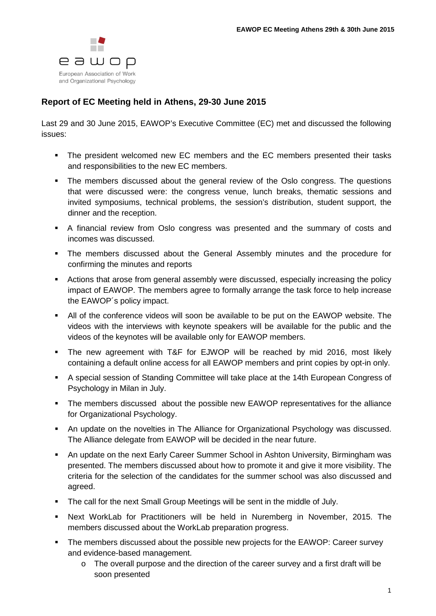

## **Report of EC Meeting held in Athens, 29-30 June 2015**

Last 29 and 30 June 2015, EAWOP's Executive Committee (EC) met and discussed the following issues:

- The president welcomed new EC members and the EC members presented their tasks and responsibilities to the new EC members.
- The members discussed about the general review of the Oslo congress. The questions that were discussed were: the congress venue, lunch breaks, thematic sessions and invited symposiums, technical problems, the session's distribution, student support, the dinner and the reception.
- A financial review from Oslo congress was presented and the summary of costs and incomes was discussed.
- The members discussed about the General Assembly minutes and the procedure for confirming the minutes and reports
- Actions that arose from general assembly were discussed, especially increasing the policy impact of EAWOP. The members agree to formally arrange the task force to help increase the EAWOP´s policy impact.
- All of the conference videos will soon be available to be put on the EAWOP website. The videos with the interviews with keynote speakers will be available for the public and the videos of the keynotes will be available only for EAWOP members.
- The new agreement with T&F for EJWOP will be reached by mid 2016, most likely containing a default online access for all EAWOP members and print copies by opt-in only.
- A special session of Standing Committee will take place at the 14th European Congress of Psychology in Milan in July.
- The members discussed about the possible new EAWOP representatives for the alliance for Organizational Psychology.
- An update on the novelties in The Alliance for Organizational Psychology was discussed. The Alliance delegate from EAWOP will be decided in the near future.
- An update on the next Early Career Summer School in Ashton University, Birmingham was presented. The members discussed about how to promote it and give it more visibility. The criteria for the selection of the candidates for the summer school was also discussed and agreed.
- The call for the next Small Group Meetings will be sent in the middle of July.
- Next WorkLab for Practitioners will be held in Nuremberg in November, 2015. The members discussed about the WorkLab preparation progress.
- The members discussed about the possible new projects for the EAWOP: Career survey and evidence-based management.
	- o The overall purpose and the direction of the career survey and a first draft will be soon presented